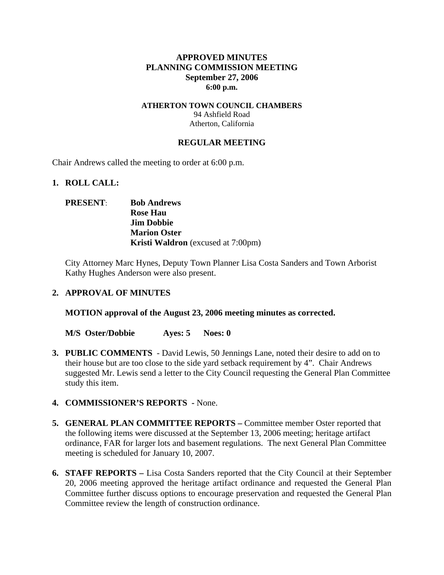### **APPROVED MINUTES PLANNING COMMISSION MEETING September 27, 2006 6:00 p.m.**

#### **ATHERTON TOWN COUNCIL CHAMBERS**  94 Ashfield Road Atherton, California

### **REGULAR MEETING**

Chair Andrews called the meeting to order at 6:00 p.m.

#### **1. ROLL CALL:**

## **PRESENT**: **Bob Andrews Rose Hau Jim Dobbie Marion Oster Kristi Waldron** (excused at 7:00pm)

City Attorney Marc Hynes, Deputy Town Planner Lisa Costa Sanders and Town Arborist Kathy Hughes Anderson were also present.

#### **2. APPROVAL OF MINUTES**

**MOTION approval of the August 23, 2006 meeting minutes as corrected.** 

**M/S Oster/Dobbie Ayes: 5 Noes: 0** 

- **3. PUBLIC COMMENTS** David Lewis, 50 Jennings Lane, noted their desire to add on to their house but are too close to the side yard setback requirement by 4". Chair Andrews suggested Mr. Lewis send a letter to the City Council requesting the General Plan Committee study this item.
- **4. COMMISSIONER'S REPORTS -** None.
- **5. GENERAL PLAN COMMITTEE REPORTS** Committee member Oster reported that the following items were discussed at the September 13, 2006 meeting; heritage artifact ordinance, FAR for larger lots and basement regulations. The next General Plan Committee meeting is scheduled for January 10, 2007.
- **6. STAFF REPORTS** Lisa Costa Sanders reported that the City Council at their September 20, 2006 meeting approved the heritage artifact ordinance and requested the General Plan Committee further discuss options to encourage preservation and requested the General Plan Committee review the length of construction ordinance.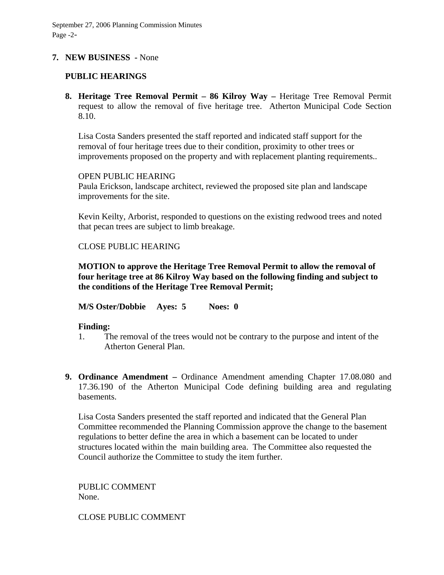### **7. NEW BUSINESS -** None

## **PUBLIC HEARINGS**

**8. Heritage Tree Removal Permit – 86 Kilroy Way –** Heritage Tree Removal Permit request to allow the removal of five heritage tree. Atherton Municipal Code Section 8.10.

Lisa Costa Sanders presented the staff reported and indicated staff support for the removal of four heritage trees due to their condition, proximity to other trees or improvements proposed on the property and with replacement planting requirements..

#### OPEN PUBLIC HEARING

Paula Erickson, landscape architect, reviewed the proposed site plan and landscape improvements for the site.

Kevin Keilty, Arborist, responded to questions on the existing redwood trees and noted that pecan trees are subject to limb breakage.

#### CLOSE PUBLIC HEARING

**MOTION to approve the Heritage Tree Removal Permit to allow the removal of four heritage tree at 86 Kilroy Way based on the following finding and subject to the conditions of the Heritage Tree Removal Permit;** 

**M/S Oster/Dobbie Ayes: 5 Noes: 0** 

#### **Finding:**

- 1. The removal of the trees would not be contrary to the purpose and intent of the Atherton General Plan.
- **9. Ordinance Amendment** Ordinance Amendment amending Chapter 17.08.080 and 17.36.190 of the Atherton Municipal Code defining building area and regulating basements.

Lisa Costa Sanders presented the staff reported and indicated that the General Plan Committee recommended the Planning Commission approve the change to the basement regulations to better define the area in which a basement can be located to under structures located within the main building area. The Committee also requested the Council authorize the Committee to study the item further.

PUBLIC COMMENT None.

CLOSE PUBLIC COMMENT